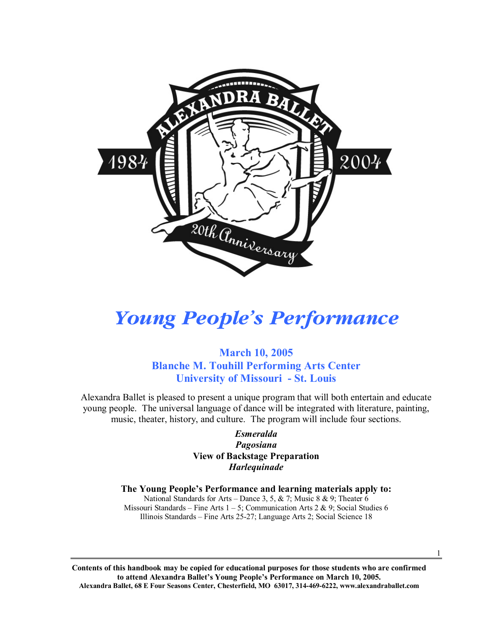

# *Young People's Performance*

### **March 10, 2005 Blanche M. Touhill Performing Arts Center University of Missouri - St. Louis**

Alexandra Ballet is pleased to present a unique program that will both entertain and educate young people. The universal language of dance will be integrated with literature, painting, music, theater, history, and culture. The program will include four sections.

#### *Esmeralda Pagosiana*  **View of Backstage Preparation**  *Harlequinade*

#### **The Young People's Performance and learning materials apply to:**

National Standards for Arts – Dance 3, 5, & 7; Music 8 & 9; Theater 6 Missouri Standards – Fine Arts  $1 - 5$ ; Communication Arts 2 & 9; Social Studies 6 Illinois Standards – Fine Arts 25-27; Language Arts 2; Social Science 18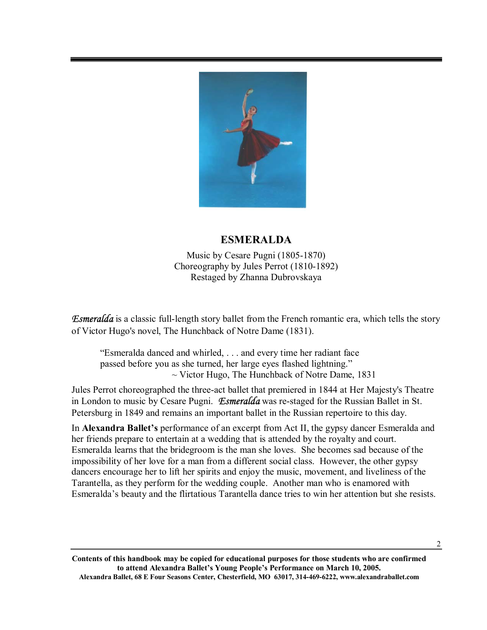

# **ESMERALDA**

Music by Cesare Pugni (1805-1870) Choreography by Jules Perrot (1810-1892) Restaged by Zhanna Dubrovskaya

*Esmeralda* is a classic full-length story ballet from the French romantic era, which tells the story of Victor Hugo's novel, The Hunchback of Notre Dame (1831).

ìEsmeralda danced and whirled, . . . and every time her radiant face passed before you as she turned, her large eyes flashed lightning."  $\sim$  Victor Hugo, The Hunchback of Notre Dame, 1831

Jules Perrot choreographed the three-act ballet that premiered in 1844 at Her Majesty's Theatre in London to music by Cesare Pugni. *Esmeralda* was re-staged for the Russian Ballet in St. Petersburg in 1849 and remains an important ballet in the Russian repertoire to this day.

In **Alexandra Ballet's** performance of an excerpt from Act II, the gypsy dancer Esmeralda and her friends prepare to entertain at a wedding that is attended by the royalty and court. Esmeralda learns that the bridegroom is the man she loves. She becomes sad because of the impossibility of her love for a man from a different social class. However, the other gypsy dancers encourage her to lift her spirits and enjoy the music, movement, and liveliness of the Tarantella, as they perform for the wedding couple. Another man who is enamored with Esmeraldaís beauty and the flirtatious Tarantella dance tries to win her attention but she resists.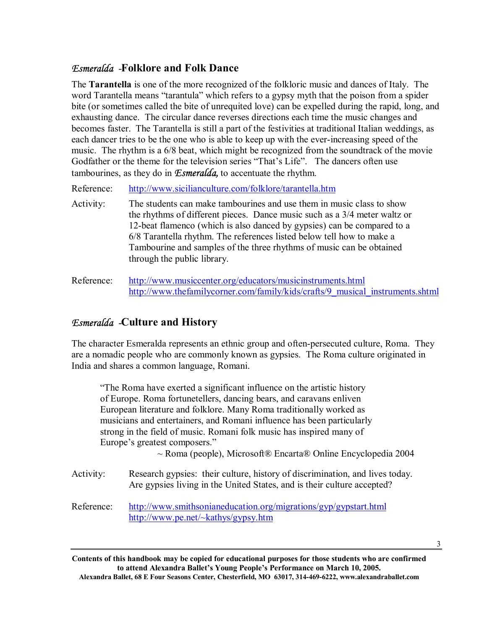#### *Esmeralda -***Folklore and Folk Dance**

The **Tarantella** is one of the more recognized of the folkloric music and dances of Italy. The word Tarantella means "tarantula" which refers to a gypsy myth that the poison from a spider bite (or sometimes called the bite of unrequited love) can be expelled during the rapid, long, and exhausting dance. The circular dance reverses directions each time the music changes and becomes faster. The Tarantella is still a part of the festivities at traditional Italian weddings, as each dancer tries to be the one who is able to keep up with the ever-increasing speed of the music. The rhythm is a 6/8 beat, which might be recognized from the soundtrack of the movie Godfather or the theme for the television series "That's Life". The dancers often use tambourines, as they do in *Esmeralda,* to accentuate the rhythm.

Reference: http://www.sicilianculture.com/folklore/tarantella.htm

- Activity: The students can make tambourines and use them in music class to show the rhythms of different pieces. Dance music such as a 3/4 meter waltz or 12-beat flamenco (which is also danced by gypsies) can be compared to a 6/8 Tarantella rhythm. The references listed below tell how to make a Tambourine and samples of the three rhythms of music can be obtained through the public library.
- Reference: http://www.musiccenter.org/educators/musicinstruments.html http://www.thefamilycorner.com/family/kids/crafts/9\_musical\_instruments.shtml

#### *Esmeralda -***Culture and History**

The character Esmeralda represents an ethnic group and often-persecuted culture, Roma. They are a nomadic people who are commonly known as gypsies. The Roma culture originated in India and shares a common language, Romani.

ìThe Roma have exerted a significant influence on the artistic history of Europe. Roma fortunetellers, dancing bears, and caravans enliven European literature and folklore. Many Roma traditionally worked as musicians and entertainers, and Romani influence has been particularly strong in the field of music. Romani folk music has inspired many of Europe's greatest composers."

 $\sim$  Roma (people), Microsoft $\otimes$  Encarta $\otimes$  Online Encyclopedia 2004

- Activity: Research gypsies: their culture, history of discrimination, and lives today. Are gypsies living in the United States, and is their culture accepted?
- Reference: http://www.smithsonianeducation.org/migrations/gyp/gypstart.html http://www.pe.net/~kathys/gypsy.htm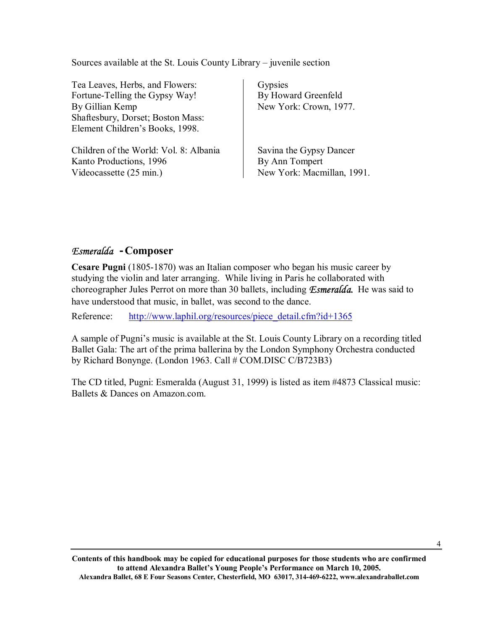Sources available at the St. Louis County Library – juvenile section

Tea Leaves, Herbs, and Flowers: Fortune-Telling the Gypsy Way! By Gillian Kemp Shaftesbury, Dorset; Boston Mass: Element Children's Books, 1998.

Children of the World: Vol. 8: Albania Kanto Productions, 1996 Videocassette (25 min.)

**Gypsies** By Howard Greenfeld New York: Crown, 1977.

Savina the Gypsy Dancer By Ann Tompert New York: Macmillan, 1991.

#### *Esmeralda* **-Composer**

**Cesare Pugni** (1805-1870) was an Italian composer who began his music career by studying the violin and later arranging. While living in Paris he collaborated with choreographer Jules Perrot on more than 30 ballets, including *Esmeralda.* He was said to have understood that music, in ballet, was second to the dance.

Reference: http://www.laphil.org/resources/piece\_detail.cfm?id+1365

A sample of Pugni's music is available at the St. Louis County Library on a recording titled Ballet Gala: The art of the prima ballerina by the London Symphony Orchestra conducted by Richard Bonynge. (London 1963. Call # COM.DISC C/B723B3)

The CD titled, Pugni: Esmeralda (August 31, 1999) is listed as item #4873 Classical music: Ballets & Dances on Amazon.com.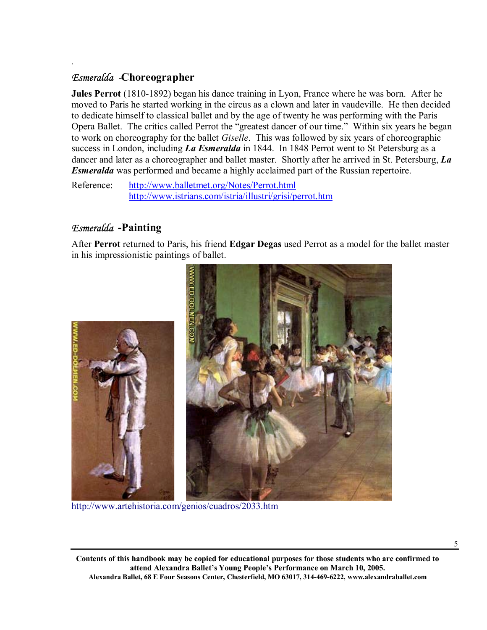#### *Esmeralda -***Choreographer**

.

**Jules Perrot** (1810-1892) began his dance training in Lyon, France where he was born. After he moved to Paris he started working in the circus as a clown and later in vaudeville. He then decided to dedicate himself to classical ballet and by the age of twenty he was performing with the Paris Opera Ballet. The critics called Perrot the "greatest dancer of our time." Within six years he began to work on choreography for the ballet *Giselle*. This was followed by six years of choreographic success in London, including *La Esmeralda* in 1844. In 1848 Perrot went to St Petersburg as a dancer and later as a choreographer and ballet master. Shortly after he arrived in St. Petersburg, *La Esmeralda* was performed and became a highly acclaimed part of the Russian repertoire.

Reference: http://www.balletmet.org/Notes/Perrot.html http://www.istrians.com/istria/illustri/grisi/perrot.htm

#### *Esmeralda* **-Painting**

After **Perrot** returned to Paris, his friend **Edgar Degas** used Perrot as a model for the ballet master in his impressionistic paintings of ballet.



http://www.artehistoria.com/genios/cuadros/2033.htm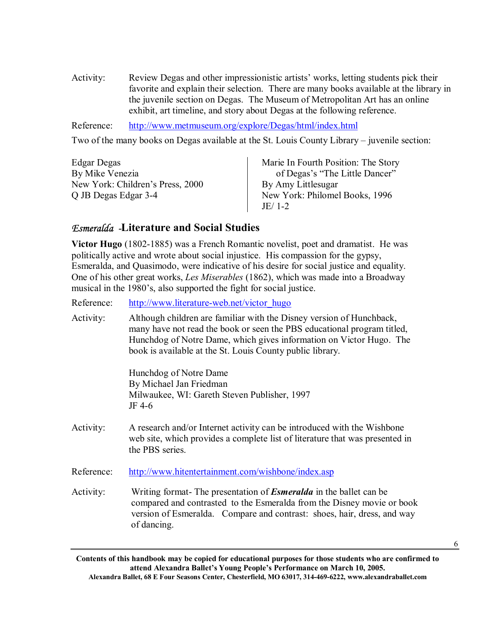Activity: Review Degas and other impressionistic artists' works, letting students pick their favorite and explain their selection. There are many books available at the library in the juvenile section on Degas. The Museum of Metropolitan Art has an online exhibit, art timeline, and story about Degas at the following reference.

Reference: http://www.metmuseum.org/explore/Degas/html/index.html

Two of the many books on Degas available at the St. Louis County Library – juvenile section:

| Edgar Degas                      | Marie In Fourth Position: The Story |
|----------------------------------|-------------------------------------|
| By Mike Venezia                  | of Degas's "The Little Dancer"      |
| New York: Children's Press, 2000 | By Amy Littlesugar                  |
| Q JB Degas Edgar 3-4             | New York: Philomel Books, 1996      |
|                                  | JE/1-2                              |

#### *Esmeralda -***Literature and Social Studies**

**Victor Hugo** (1802-1885) was a French Romantic novelist, poet and dramatist. He was politically active and wrote about social injustice. His compassion for the gypsy, Esmeralda, and Quasimodo, were indicative of his desire for social justice and equality. One of his other great works, *Les Miserables* (1862), which was made into a Broadway musical in the 1980's, also supported the fight for social justice.

Reference: http://www.literature-web.net/victor\_hugo

Activity: Although children are familiar with the Disney version of Hunchback, many have not read the book or seen the PBS educational program titled, Hunchdog of Notre Dame, which gives information on Victor Hugo. The book is available at the St. Louis County public library.

> Hunchdog of Notre Dame By Michael Jan Friedman Milwaukee, WI: Gareth Steven Publisher, 1997 JF 4-6

- Activity: A research and/or Internet activity can be introduced with the Wishbone web site, which provides a complete list of literature that was presented in the PBS series.
- Reference: http://www.hitentertainment.com/wishbone/index.asp
- Activity: Writing format- The presentation of *Esmeralda* in the ballet can be compared and contrasted to the Esmeralda from the Disney movie or book version of Esmeralda. Compare and contrast: shoes, hair, dress, and way of dancing.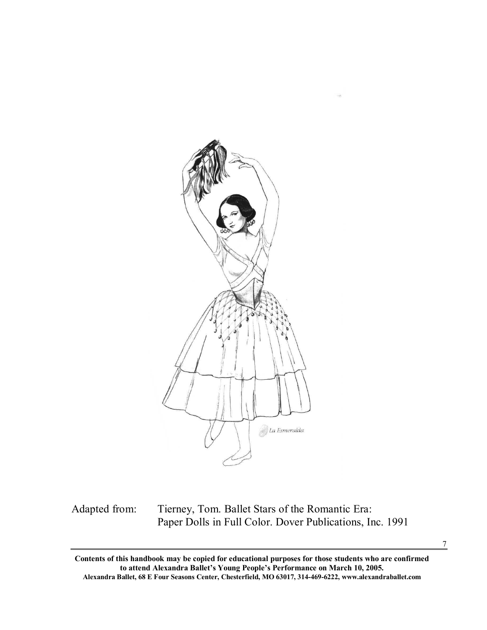

Adapted from: Tierney, Tom. Ballet Stars of the Romantic Era: Paper Dolls in Full Color. Dover Publications, Inc. 1991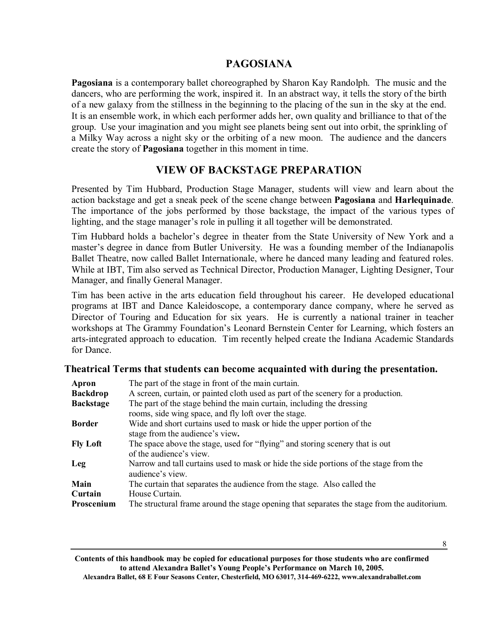#### **PAGOSIANA**

**Pagosiana** is a contemporary ballet choreographed by Sharon Kay Randolph. The music and the dancers, who are performing the work, inspired it. In an abstract way, it tells the story of the birth of a new galaxy from the stillness in the beginning to the placing of the sun in the sky at the end. It is an ensemble work, in which each performer adds her, own quality and brilliance to that of the group. Use your imagination and you might see planets being sent out into orbit, the sprinkling of a Milky Way across a night sky or the orbiting of a new moon. The audience and the dancers create the story of **Pagosiana** together in this moment in time.

#### **VIEW OF BACKSTAGE PREPARATION**

Presented by Tim Hubbard, Production Stage Manager, students will view and learn about the action backstage and get a sneak peek of the scene change between **Pagosiana** and **Harlequinade**. The importance of the jobs performed by those backstage, the impact of the various types of lighting, and the stage manager's role in pulling it all together will be demonstrated.

Tim Hubbard holds a bachelor's degree in theater from the State University of New York and a master's degree in dance from Butler University. He was a founding member of the Indianapolis Ballet Theatre, now called Ballet Internationale, where he danced many leading and featured roles. While at IBT, Tim also served as Technical Director, Production Manager, Lighting Designer, Tour Manager, and finally General Manager.

Tim has been active in the arts education field throughout his career. He developed educational programs at IBT and Dance Kaleidoscope, a contemporary dance company, where he served as Director of Touring and Education for six years. He is currently a national trainer in teacher workshops at The Grammy Foundation's Leonard Bernstein Center for Learning, which fosters an arts-integrated approach to education. Tim recently helped create the Indiana Academic Standards for Dance.

#### **Theatrical Terms that students can become acquainted with during the presentation.**

| Apron            | The part of the stage in front of the main curtain.                                                       |
|------------------|-----------------------------------------------------------------------------------------------------------|
| <b>Backdrop</b>  | A screen, curtain, or painted cloth used as part of the scenery for a production.                         |
| <b>Backstage</b> | The part of the stage behind the main curtain, including the dressing                                     |
|                  | rooms, side wing space, and fly loft over the stage.                                                      |
| <b>Border</b>    | Wide and short curtains used to mask or hide the upper portion of the                                     |
|                  | stage from the audience's view.                                                                           |
| <b>Fly Loft</b>  | The space above the stage, used for "flying" and storing scenery that is out                              |
|                  | of the audience's view.                                                                                   |
| Leg              | Narrow and tall curtains used to mask or hide the side portions of the stage from the<br>audience's view. |
| Main             | The curtain that separates the audience from the stage. Also called the                                   |
| Curtain          | House Curtain.                                                                                            |
| Proscenium       | The structural frame around the stage opening that separates the stage from the auditorium.               |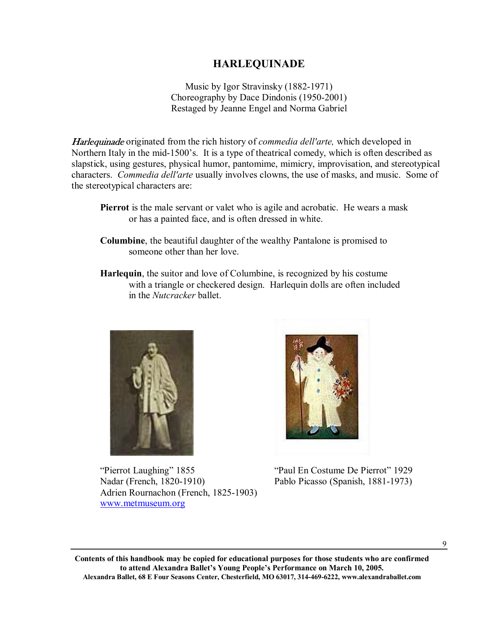#### **HARLEQUINADE**

Music by Igor Stravinsky (1882-1971) Choreography by Dace Dindonis (1950-2001) Restaged by Jeanne Engel and Norma Gabriel

Harlequinade originated from the rich history of *commedia dell′arte,* which developed in Northern Italy in the mid-1500's. It is a type of theatrical comedy, which is often described as slapstick, using gestures, physical humor, pantomime, mimicry, improvisation, and stereotypical characters. *Commedia dell′arte* usually involves clowns, the use of masks, and music. Some of the stereotypical characters are:

- **Columbine**, the beautiful daughter of the wealthy Pantalone is promised to someone other than her love.
- **Harlequin**, the suitor and love of Columbine, is recognized by his costume with a triangle or checkered design. Harlequin dolls are often included in the *Nutcracker* ballet.



"Pierrot Laughing" 1855 <br>
"Paul En Costume De Pierrot" 1929 Nadar (French, 1820-1910) Pablo Picasso (Spanish, 1881-1973) Adrien Rournachon (French, 1825-1903) www.metmuseum.org



9

**Pierrot** is the male servant or valet who is agile and acrobatic. He wears a mask or has a painted face, and is often dressed in white.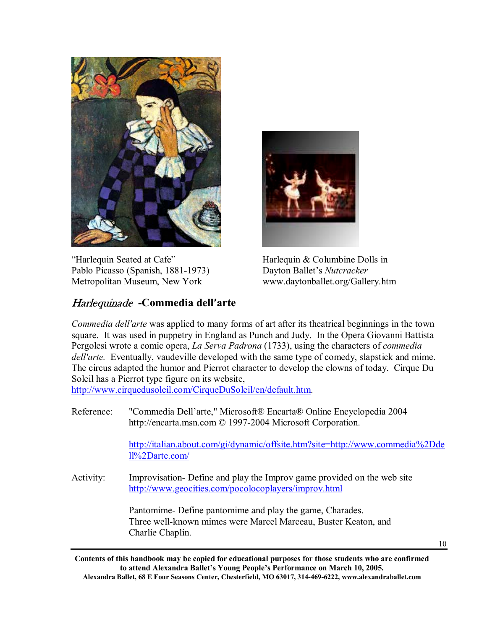

"Harlequin Seated at Cafe" Harlequin & Columbine Dolls in Pablo Picasso (Spanish, 1881-1973) Dayton Ballet's *Nutcracker* Metropolitan Museum, New York www.daytonballet.org/Gallery.htm

# Harlequinade **-Commedia dell′arte**

*Commedia dell′arte* was applied to many forms of art after its theatrical beginnings in the town square. It was used in puppetry in England as Punch and Judy. In the Opera Giovanni Battista Pergolesi wrote a comic opera, *La Serva Padrona* (1733), using the characters of *commedia dell′arte.* Eventually, vaudeville developed with the same type of comedy, slapstick and mime. The circus adapted the humor and Pierrot character to develop the clowns of today. Cirque Du Soleil has a Pierrot type figure on its website,

http://www.cirquedusoleil.com/CirqueDuSoleil/en/default.htm.

Reference: "Commedia Dell'arte," Microsoft® Encarta® Online Encyclopedia 2004 http://encarta.msn.com © 1997-2004 Microsoft Corporation.

> http://italian.about.com/gi/dynamic/offsite.htm?site=http://www.commedia%2Dde ll%2Darte.com/

Activity: Improvisation- Define and play the Improv game provided on the web site http://www.geocities.com/pocolocoplayers/improv.html

> Pantomime- Define pantomime and play the game, Charades. Three well-known mimes were Marcel Marceau, Buster Keaton, and Charlie Chaplin.

> > 10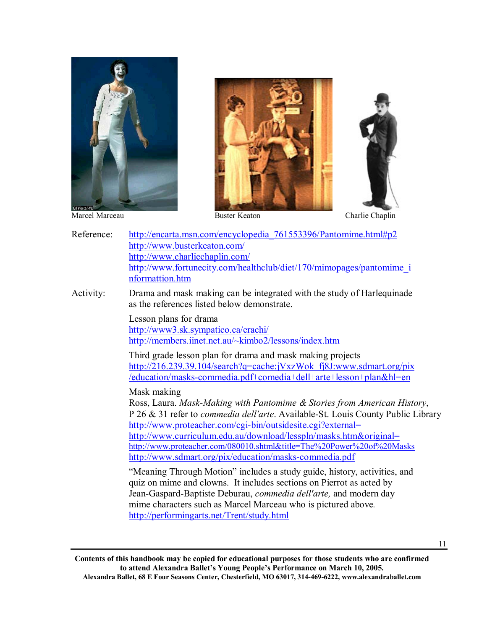





- Reference: http://encarta.msn.com/encyclopedia 761553396/Pantomime.html#p2 http://www.busterkeaton.com/ http://www.charliechaplin.com/ http://www.fortunecity.com/healthclub/diet/170/mimopages/pantomime\_i nformattion.htm
- Activity: Drama and mask making can be integrated with the study of Harlequinade as the references listed below demonstrate.

 Lesson plans for drama http://www3.sk.sympatico.ca/erachi/ http://members.iinet.net.au/~kimbo2/lessons/index.htm

 Third grade lesson plan for drama and mask making projects http://216.239.39.104/search?q=cache:jVxzWok\_fj8J:www.sdmart.org/pix /education/masks-commedia.pdf+comedia+dell+arte+lesson+plan&hl=en

Mask making

Ross, Laura. *Mask-Making with Pantomime & Stories from American History*, P 26 & 31 refer to *commedia dell′arte*. Available-St. Louis County Public Library http://www.proteacher.com/cgi-bin/outsidesite.cgi?external= http://www.curriculum.edu.au/download/lesspln/masks.htm&original= http://www.proteacher.com/080010.shtml&title=The%20Power%20of%20Masks http://www.sdmart.org/pix/education/masks-commedia.pdf

 ìMeaning Through Motionî includes a study guide, history, activities, and quiz on mime and clowns. It includes sections on Pierrot as acted by Jean-Gaspard-Baptiste Deburau, *commedia dell′arte,* and modern day mime characters such as Marcel Marceau who is pictured above*.* http://performingarts.net/Trent/study.html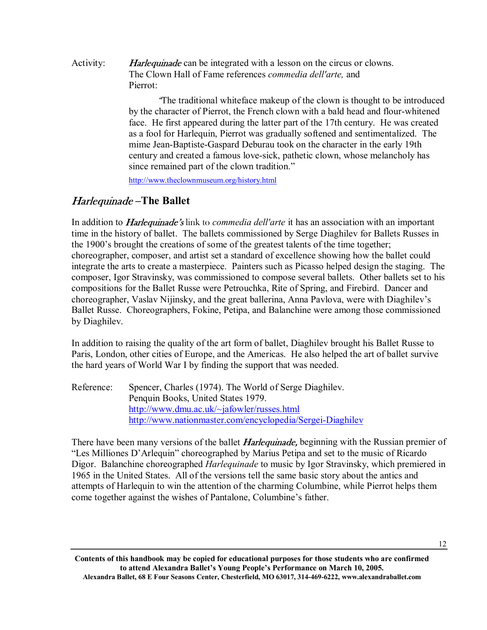Activity: Harlequinade can be integrated with a lesson on the circus or clowns. The Clown Hall of Fame references *commedia dell′arte,* and Pierrot:

> <sup>ì</sup>The traditional whiteface makeup of the clown is thought to be introduced by the character of Pierrot, the French clown with a bald head and flour-whitened face. He first appeared during the latter part of the 17th century. He was created as a fool for Harlequin, Pierrot was gradually softened and sentimentalized. The mime Jean-Baptiste-Gaspard Deburau took on the character in the early 19th century and created a famous love-sick, pathetic clown, whose melancholy has since remained part of the clown tradition."

http://www.theclownmuseum.org/history.html

# *Harlequinade* – The Ballet

In addition to **Harlequinade's** link to *commedia dell'arte* it has an association with an important time in the history of ballet. The ballets commissioned by Serge Diaghilev for Ballets Russes in the 1900ís brought the creations of some of the greatest talents of the time together; choreographer, composer, and artist set a standard of excellence showing how the ballet could integrate the arts to create a masterpiece. Painters such as Picasso helped design the staging. The composer, Igor Stravinsky, was commissioned to compose several ballets. Other ballets set to his compositions for the Ballet Russe were Petrouchka, Rite of Spring, and Firebird. Dancer and choreographer, Vaslav Nijinsky, and the great ballerina, Anna Pavlova, were with Diaghilev's Ballet Russe. Choreographers, Fokine, Petipa, and Balanchine were among those commissioned by Diaghilev.

In addition to raising the quality of the art form of ballet, Diaghilev brought his Ballet Russe to Paris, London, other cities of Europe, and the Americas. He also helped the art of ballet survive the hard years of World War I by finding the support that was needed.

Reference: Spencer, Charles (1974). The World of Serge Diaghilev. Penquin Books, United States 1979. http://www.dmu.ac.uk/~jafowler/russes.html http://www.nationmaster.com/encyclopedia/Sergei-Diaghilev

There have been many versions of the ballet *Harlequinade*, beginning with the Russian premier of "Les Milliones D'Arlequin" choreographed by Marius Petipa and set to the music of Ricardo Digor. Balanchine choreographed *Harlequinade* to music by Igor Stravinsky, which premiered in 1965 in the United States. All of the versions tell the same basic story about the antics and attempts of Harlequin to win the attention of the charming Columbine, while Pierrot helps them come together against the wishes of Pantalone, Columbine's father.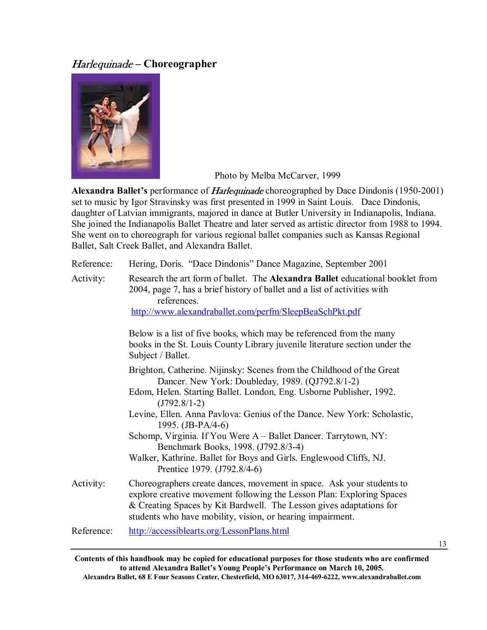# Harlequinade - Choreographer



Photo by Melba McCarver, 1999

Alexandra Ballet's performance of *Harlequinade* choreographed by Dace Dindonis (1950-2001) set to music by Igor Stravinsky was first presented in 1999 in Saint Louis. Dace Dindonis, daughter of Latvian immigrants, majored in dance at Butler University in Indianapolis, Indiana. She joined the Indianapolis Ballet Theatre and later served as artistic director from 1988 to 1994. She went on to choreograph for various regional ballet companies such as Kansas Regional Ballet, Salt Creek Ballet, and Alexandra Ballet.

| Reference: | Hering, Doris. "Dace Dindonis" Dance Magazine, September 2001                                                                                                                                                                                                                                                                                                                                                                                                                                                                       |
|------------|-------------------------------------------------------------------------------------------------------------------------------------------------------------------------------------------------------------------------------------------------------------------------------------------------------------------------------------------------------------------------------------------------------------------------------------------------------------------------------------------------------------------------------------|
| Activity:  | Research the art form of ballet. The <b>Alexandra Ballet</b> educational booklet from<br>2004, page 7, has a brief history of ballet and a list of activities with<br>references.<br>http://www.alexandraballet.com/perfm/SleepBeaSchPkt.pdf                                                                                                                                                                                                                                                                                        |
|            | Below is a list of five books, which may be referenced from the many<br>books in the St. Louis County Library juvenile literature section under the<br>Subject / Ballet.                                                                                                                                                                                                                                                                                                                                                            |
|            | Brighton, Catherine. Nijinsky: Scenes from the Childhood of the Great<br>Dancer. New York: Doubleday, 1989. (QJ792.8/1-2)<br>Edom, Helen. Starting Ballet. London, Eng. Usborne Publisher, 1992.<br>$(J792.8/1-2)$<br>Levine, Ellen. Anna Pavlova: Genius of the Dance. New York: Scholastic,<br>1995. $(JB-PA/4-6)$<br>Schomp, Virginia. If You Were A - Ballet Dancer. Tarrytown, NY:<br>Benchmark Books, 1998. (J792.8/3-4)<br>Walker, Kathrine. Ballet for Boys and Girls. Englewood Cliffs, NJ.<br>Prentice 1979. (J792.8/4-6) |
| Activity:  | Choreographers create dances, movement in space. Ask your students to<br>explore creative movement following the Lesson Plan: Exploring Spaces<br>& Creating Spaces by Kit Bardwell. The Lesson gives adaptations for<br>students who have mobility, vision, or hearing impairment.                                                                                                                                                                                                                                                 |
| Reference: | http://accessiblearts.org/LessonPlans.html                                                                                                                                                                                                                                                                                                                                                                                                                                                                                          |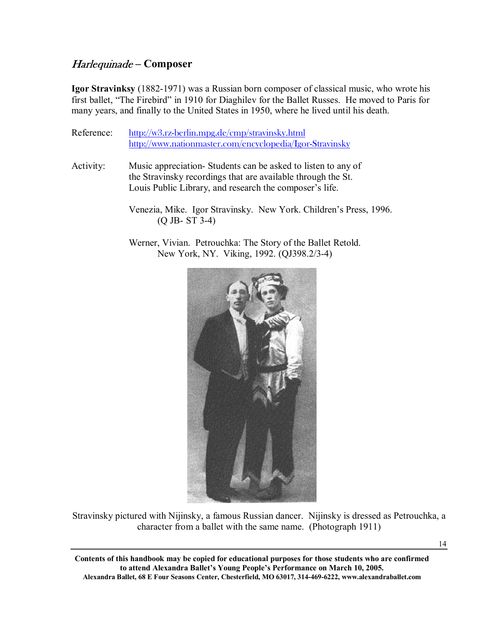# *Harlequinade* – Composer

**Igor Stravinksy** (1882-1971) was a Russian born composer of classical music, who wrote his first ballet, "The Firebird" in 1910 for Diaghilev for the Ballet Russes. He moved to Paris for many years, and finally to the United States in 1950, where he lived until his death.

- Reference: http://w3.rz-berlin.mpg.de/cmp/stravinsky.html http://www.nationmaster.com/encyclopedia/Igor-Stravinsky
- Activity: Music appreciation- Students can be asked to listen to any of the Stravinsky recordings that are available through the St. Louis Public Library, and research the composer's life.
	- Venezia, Mike. Igor Stravinsky. New York. Children's Press, 1996. (Q JB- ST 3-4)
	- Werner, Vivian. Petrouchka: The Story of the Ballet Retold. New York, NY. Viking, 1992. (QJ398.2/3-4)



Stravinsky pictured with Nijinsky, a famous Russian dancer. Nijinsky is dressed as Petrouchka, a character from a ballet with the same name. (Photograph 1911)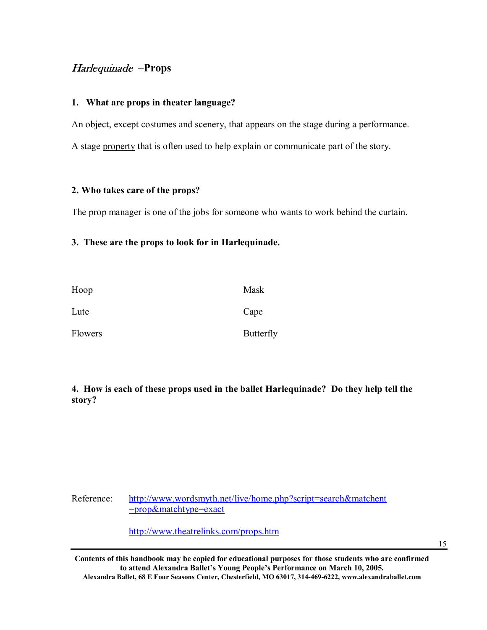### Harlequinade **-Props**

#### **1. What are props in theater language?**

An object, except costumes and scenery, that appears on the stage during a performance. A stage property that is often used to help explain or communicate part of the story.

#### **2. Who takes care of the props?**

The prop manager is one of the jobs for someone who wants to work behind the curtain.

#### **3. These are the props to look for in Harlequinade.**

| Hoop    | Mask             |
|---------|------------------|
| Lute    | Cape             |
| Flowers | <b>Butterfly</b> |

**4. How is each of these props used in the ballet Harlequinade? Do they help tell the story?** 

Reference: http://www.wordsmyth.net/live/home.php?script=search&matchent =prop&matchtype=exact

http://www.theatrelinks.com/props.htm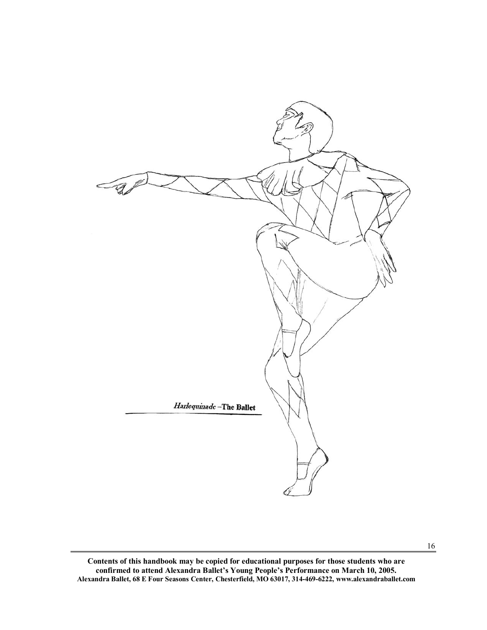